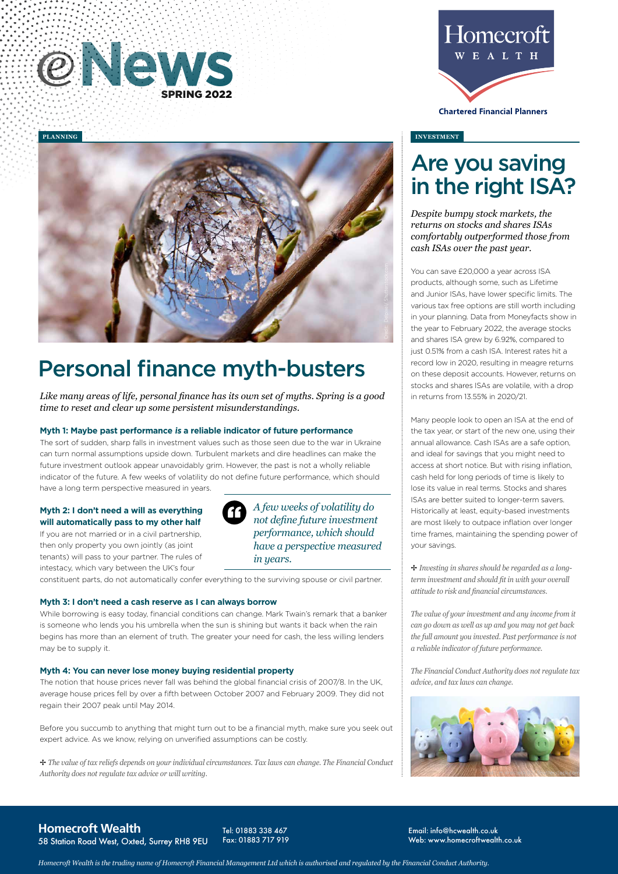



# Personal finance myth-busters

*Like many areas of life, personal finance has its own set of myths. Spring is a good time to reset and clear up some persistent misunderstandings.*

## **Myth 1: Maybe past performance is a reliable indicator of future performance**

The sort of sudden, sharp falls in investment values such as those seen due to the war in Ukraine can turn normal assumptions upside down. Turbulent markets and dire headlines can make the future investment outlook appear unavoidably grim. However, the past is not a wholly reliable indicator of the future. A few weeks of volatility do not define future performance, which should have a long term perspective measured in years.

# **Myth 2: I don't need a will as everything will automatically pass to my other half**

If you are not married or in a civil partnership, then only property you own jointly (as joint tenants) will pass to your partner. The rules of intestacy, which vary between the UK's four

*A few weeks of volatility do not define future investment performance, which should have a perspective measured in years.*

constituent parts, do not automatically confer everything to the surviving spouse or civil partner.

#### **Myth 3: I don't need a cash reserve as I can always borrow**

While borrowing is easy today, financial conditions can change. Mark Twain's remark that a banker is someone who lends you his umbrella when the sun is shining but wants it back when the rain begins has more than an element of truth. The greater your need for cash, the less willing lenders may be to supply it.

#### **Myth 4: You can never lose money buying residential property**

The notion that house prices never fall was behind the global financial crisis of 2007/8. In the UK, average house prices fell by over a fifth between October 2007 and February 2009. They did not regain their 2007 peak until May 2014.

Before you succumb to anything that might turn out to be a financial myth, make sure you seek out expert advice. As we know, relying on unverified assumptions can be costly.

B *The value of tax reliefs depends on your individual circumstances. Tax laws can change. The Financial Conduct Authority does not regulate tax advice or will writing.*



**Chartered Financial Planners** 

#### **INVESTMENT**

# Are you saving in the right ISA?

*Despite bumpy stock markets, the returns on stocks and shares ISAs comfortably outperformed those from cash ISAs over the past year.* 

You can save £20,000 a year across ISA products, although some, such as Lifetime and Junior ISAs, have lower specific limits. The various tax free options are still worth including in your planning. Data from Moneyfacts show in the year to February 2022, the average stocks and shares ISA grew by 6.92%, compared to just 0.51% from a cash ISA. Interest rates hit a record low in 2020, resulting in meagre returns on these deposit accounts. However, returns on stocks and shares ISAs are volatile, with a drop in returns from 13.55% in 2020/21.

Many people look to open an ISA at the end of the tax year, or start of the new one, using their annual allowance. Cash ISAs are a safe option, and ideal for savings that you might need to access at short notice. But with rising inflation, cash held for long periods of time is likely to lose its value in real terms. Stocks and shares ISAs are better suited to longer-term savers. Historically at least, equity-based investments are most likely to outpace inflation over longer time frames, maintaining the spending power of your savings.

B *Investing in shares should be regarded as a longterm investment and should fit in with your overall attitude to risk and financial circumstances.*

*The value of your investment and any income from it can go down as well as up and you may not get back the full amount you invested. Past performance is not a reliable indicator of future performance.*

*The Financial Conduct Authority does not regulate tax advice, and tax laws can change.*



**Homecroft Wealth** 58 Station Road West, Oxted, Surrey RH8 9EU

Tel: 01883 338 467 Fax: 01883 717 919 Email: info@hcwealth.co.uk Web: www.homecroftwealth.co.uk

*Homecroft Wealth is the trading name of Homecroft Financial Management Ltd which is authorised and regulated by the Financial Conduct Authority.*